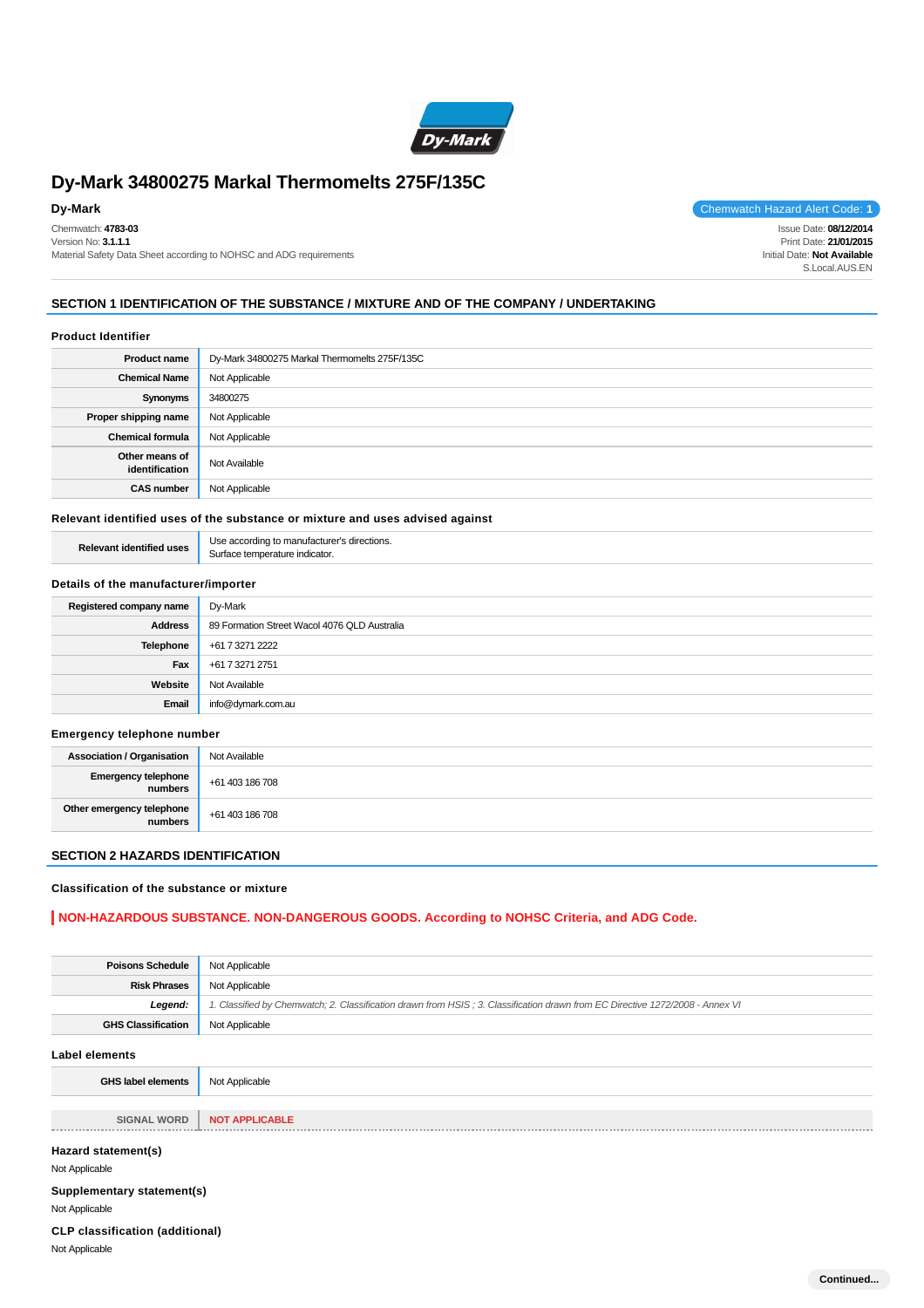

# **Dy-Mark 34800275 Markal Thermomelts 275F/135C**

Chemwatch: **4783-03** Version No: **3.1.1.1** Material Safety Data Sheet according to NOHSC and ADG requirements

**Dy-Mark** Chemwatch Hazard Alert Code: 1 Issue Date: **08/12/2014**

Print Date: **21/01/2015** Initial Date: **Not Available** S.Local.AUS.EN

# **SECTION 1 IDENTIFICATION OF THE SUBSTANCE / MIXTURE AND OF THE COMPANY / UNDERTAKING**

#### **Product Identifier**

| <b>Product name</b>              | Dy-Mark 34800275 Markal Thermomelts 275F/135C |
|----------------------------------|-----------------------------------------------|
| <b>Chemical Name</b>             | Not Applicable                                |
| Synonyms                         | 34800275                                      |
| Proper shipping name             | Not Applicable                                |
| <b>Chemical formula</b>          | Not Applicable                                |
| Other means of<br>identification | Not Available                                 |
| <b>CAS number</b>                | Not Applicable                                |

#### **Relevant identified uses of the substance or mixture and uses advised against**

| --<br>חטוז |
|------------|
|            |

# **Details of the manufacturer/importer**

| Registered company name | Dy-Mark                                      |
|-------------------------|----------------------------------------------|
| <b>Address</b>          | 89 Formation Street Wacol 4076 QLD Australia |
| Telephone               | +61 7 3271 2222                              |
| Fax                     | +61 7 3271 2751                              |
| Website                 | Not Available                                |
| Email                   | info@dymark.com.au                           |

#### **Emergency telephone number**

| <b>Association / Organisation</b>            | Not Available   |
|----------------------------------------------|-----------------|
| <b>Emergency telephone</b><br><b>numbers</b> | +61 403 186 708 |
| Other emergency telephone<br>numbers         | +61 403 186 708 |

# **SECTION 2 HAZARDS IDENTIFICATION**

#### **Classification of the substance or mixture**

# **NON-HAZARDOUS SUBSTANCE. NON-DANGEROUS GOODS. According to NOHSC Criteria, and ADG Code.**

| <b>Poisons Schedule</b>                | Not Applicable                                                                                                                |  |
|----------------------------------------|-------------------------------------------------------------------------------------------------------------------------------|--|
| <b>Risk Phrases</b>                    | Not Applicable                                                                                                                |  |
| Legend:                                | 1. Classified by Chemwatch; 2. Classification drawn from HSIS; 3. Classification drawn from EC Directive 1272/2008 - Annex VI |  |
| <b>GHS Classification</b>              | Not Applicable                                                                                                                |  |
| <b>Label elements</b>                  |                                                                                                                               |  |
| <b>GHS label elements</b>              | Not Applicable                                                                                                                |  |
|                                        |                                                                                                                               |  |
| <b>SIGNAL WORD</b>                     | <b>NOT APPLICABLE</b>                                                                                                         |  |
| Hazard statement(s)                    |                                                                                                                               |  |
| Not Applicable                         |                                                                                                                               |  |
| Supplementary statement(s)             |                                                                                                                               |  |
| Not Applicable                         |                                                                                                                               |  |
| <b>CLP classification (additional)</b> |                                                                                                                               |  |
| Not Applicable                         |                                                                                                                               |  |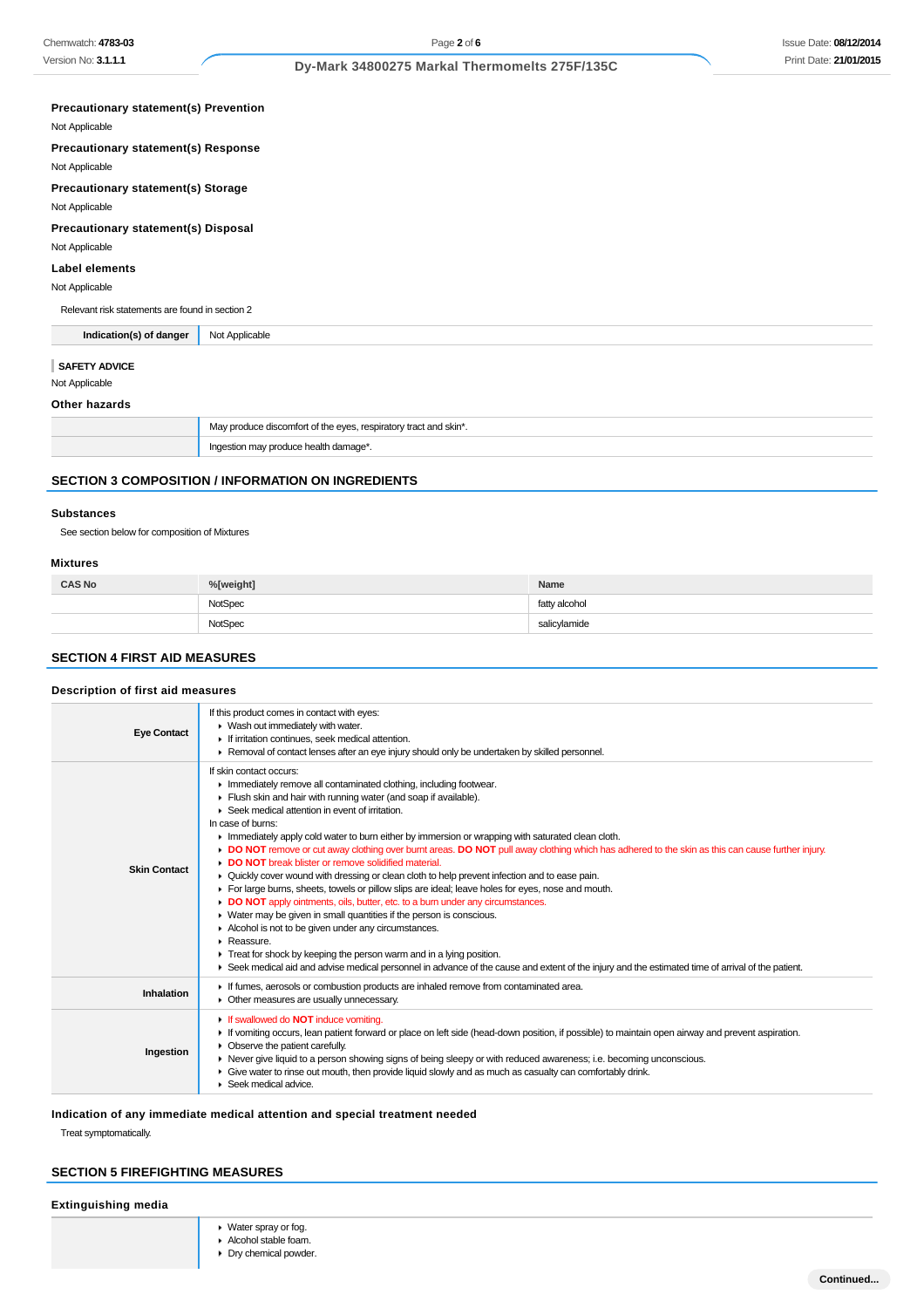# Issue Date: **08/12/2014** Print Date: **21/01/2015**

# **Dy-Mark 34800275 Markal Thermomelts 275F/135C**

| <b>Precautionary statement(s) Prevention</b>    |                                                                  |  |
|-------------------------------------------------|------------------------------------------------------------------|--|
| Not Applicable                                  |                                                                  |  |
| Precautionary statement(s) Response             |                                                                  |  |
| Not Applicable                                  |                                                                  |  |
| <b>Precautionary statement(s) Storage</b>       |                                                                  |  |
| Not Applicable                                  |                                                                  |  |
| Precautionary statement(s) Disposal             |                                                                  |  |
| Not Applicable                                  |                                                                  |  |
| <b>Label elements</b>                           |                                                                  |  |
| Not Applicable                                  |                                                                  |  |
| Relevant risk statements are found in section 2 |                                                                  |  |
| Indication(s) of danger                         | Not Applicable                                                   |  |
| <b>SAFETY ADVICE</b>                            |                                                                  |  |
| Not Applicable                                  |                                                                  |  |
| Other hazards                                   |                                                                  |  |
|                                                 | May produce discomfort of the eyes, respiratory tract and skin*. |  |
|                                                 | Ingestion may produce health damage*.                            |  |

# **SECTION 3 COMPOSITION / INFORMATION ON INGREDIENTS**

#### **Substances**

See section below for composition of Mixtures

#### **Mixtures**

| <b>CAS No</b> | %[weight]      | Name          |
|---------------|----------------|---------------|
|               | <b>NotSpec</b> | fatty alcohol |
|               | NotSpec        | salicylamide  |

# **SECTION 4 FIRST AID MEASURES**

# **Description of first aid measures**

| <b>Eye Contact</b>  | If this product comes in contact with eyes:<br>▶ Wash out immediately with water.<br>If irritation continues, seek medical attention.<br>▶ Removal of contact lenses after an eye injury should only be undertaken by skilled personnel.                                                                                                                                                                                                                                                                                                                                                                                                                                                                                                                                                                                                                                                                                                                                                                                                                                                                                                                                                                                                       |  |
|---------------------|------------------------------------------------------------------------------------------------------------------------------------------------------------------------------------------------------------------------------------------------------------------------------------------------------------------------------------------------------------------------------------------------------------------------------------------------------------------------------------------------------------------------------------------------------------------------------------------------------------------------------------------------------------------------------------------------------------------------------------------------------------------------------------------------------------------------------------------------------------------------------------------------------------------------------------------------------------------------------------------------------------------------------------------------------------------------------------------------------------------------------------------------------------------------------------------------------------------------------------------------|--|
| <b>Skin Contact</b> | If skin contact occurs:<br>Inmediately remove all contaminated clothing, including footwear.<br>Flush skin and hair with running water (and soap if available).<br>▶ Seek medical attention in event of irritation.<br>In case of burns:<br>In Immediately apply cold water to burn either by immersion or wrapping with saturated clean cloth.<br>DO NOT remove or cut away clothing over burnt areas. DO NOT pull away clothing which has adhered to the skin as this can cause further injury.<br>DO NOT break blister or remove solidified material.<br>▶ Quickly cover wound with dressing or clean cloth to help prevent infection and to ease pain.<br>For large burns, sheets, towels or pillow slips are ideal; leave holes for eyes, nose and mouth.<br>DO NOT apply ointments, oils, butter, etc. to a burn under any circumstances.<br>▶ Water may be given in small quantities if the person is conscious.<br>Alcohol is not to be given under any circumstances.<br>Reassure.<br>$\blacktriangleright$ Treat for shock by keeping the person warm and in a lying position.<br>▶ Seek medical aid and advise medical personnel in advance of the cause and extent of the injury and the estimated time of arrival of the patient. |  |
| Inhalation          | If fumes, aerosols or combustion products are inhaled remove from contaminated area.<br>• Other measures are usually unnecessary.                                                                                                                                                                                                                                                                                                                                                                                                                                                                                                                                                                                                                                                                                                                                                                                                                                                                                                                                                                                                                                                                                                              |  |
| Ingestion           | If swallowed do <b>NOT</b> induce vomiting.<br>If vomiting occurs, lean patient forward or place on left side (head-down position, if possible) to maintain open airway and prevent aspiration.<br>• Observe the patient carefully.<br>► Never give liquid to a person showing signs of being sleepy or with reduced awareness; i.e. becoming unconscious.<br>• Give water to rinse out mouth, then provide liquid slowly and as much as casualty can comfortably drink.<br>$\blacktriangleright$ Seek medical advice.                                                                                                                                                                                                                                                                                                                                                                                                                                                                                                                                                                                                                                                                                                                         |  |

# **Indication of any immediate medical attention and special treatment needed**

Treat symptomatically.

# **SECTION 5 FIREFIGHTING MEASURES**

# **Extinguishing media**

- Water spray or fog.
- Alcohol stable foam.
- **Dry chemical powder.**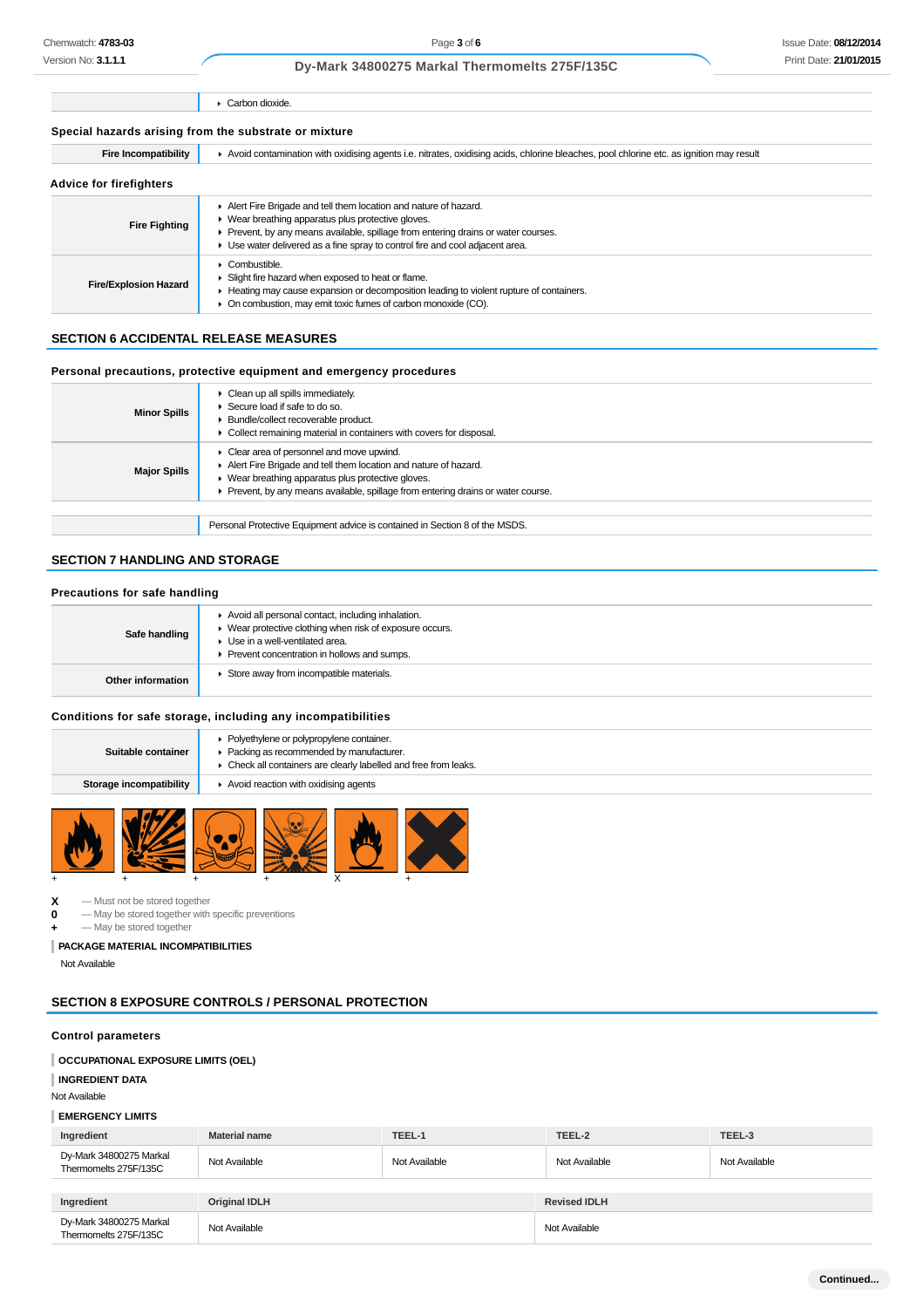### Issue Date: **08/12/2014** Print Date: **21/01/2015**

### **Dy-Mark 34800275 Markal Thermomelts 275F/135C**

Carbon dioxide.

| Special hazards arising from the substrate or mixture |  |  |  |
|-------------------------------------------------------|--|--|--|
|-------------------------------------------------------|--|--|--|

| <b>Fire Incompatibility</b>    | Avoid contamination with oxidising agents i.e. nitrates, oxidising acids, chlorine bleaches, pool chlorine etc. as ignition may result                                                                                                                                                       |  |
|--------------------------------|----------------------------------------------------------------------------------------------------------------------------------------------------------------------------------------------------------------------------------------------------------------------------------------------|--|
| <b>Advice for firefighters</b> |                                                                                                                                                                                                                                                                                              |  |
| <b>Fire Fighting</b>           | Alert Fire Brigade and tell them location and nature of hazard.<br>▶ Wear breathing apparatus plus protective gloves.<br>• Prevent, by any means available, spillage from entering drains or water courses.<br>► Use water delivered as a fine spray to control fire and cool adjacent area. |  |
| <b>Fire/Explosion Hazard</b>   | Combustible.<br>Slight fire hazard when exposed to heat or flame.<br>► Heating may cause expansion or decomposition leading to violent rupture of containers.<br>• On combustion, may emit toxic fumes of carbon monoxide (CO).                                                              |  |

# **SECTION 6 ACCIDENTAL RELEASE MEASURES**

# **Personal precautions, protective equipment and emergency procedures**

| <b>Minor Spills</b> | Clean up all spills immediately.<br>Secure load if safe to do so.<br>Bundle/collect recoverable product.<br>Collect remaining material in containers with covers for disposal.                                                                           |
|---------------------|----------------------------------------------------------------------------------------------------------------------------------------------------------------------------------------------------------------------------------------------------------|
| <b>Major Spills</b> | • Clear area of personnel and move upwind.<br>Alert Fire Brigade and tell them location and nature of hazard.<br>▶ Wear breathing apparatus plus protective gloves.<br>▶ Prevent, by any means available, spillage from entering drains or water course. |
|                     |                                                                                                                                                                                                                                                          |
|                     | Personal Protective Equipment advice is contained in Section 8 of the MSDS.                                                                                                                                                                              |

# **SECTION 7 HANDLING AND STORAGE**

### **Precautions for safe handling**

| Safe handling     | Avoid all personal contact, including inhalation.<br>• Wear protective clothing when risk of exposure occurs.<br>▶ Use in a well-ventilated area.<br>Prevent concentration in hollows and sumps. |
|-------------------|--------------------------------------------------------------------------------------------------------------------------------------------------------------------------------------------------|
| Other information | Store away from incompatible materials.                                                                                                                                                          |

#### **Conditions for safe storage, including any incompatibilities**

| Suitable container | • Polyethylene or polypropylene container.<br>Packing as recommended by manufacturer.<br>• Check all containers are clearly labelled and free from leaks.                                                                     |
|--------------------|-------------------------------------------------------------------------------------------------------------------------------------------------------------------------------------------------------------------------------|
|                    | And the first state of the control of the first state of the control of the control of the control of the control of the control of the control of the control of the control of the control of the control of the control of |

# **Storage incompatibility Avoid reaction with oxidising agents**



 $X -$ Must not be stored together<br>  $0 -$ May be stored together with

**0** — May be stored together with specific preventions

 $-$  May be stored together

# **PACKAGE MATERIAL INCOMPATIBILITIES**

Not Available

# **SECTION 8 EXPOSURE CONTROLS / PERSONAL PROTECTION**

### **Control parameters**

#### **OCCUPATIONAL EXPOSURE LIMITS (OEL)**

# **INGREDIENT DATA**

Not Available

#### **EMERGENCY LIMITS**

| Ingredient                                       | <b>Material name</b> | TEEL-1        | TEEL-2              | TEEL-3        |
|--------------------------------------------------|----------------------|---------------|---------------------|---------------|
| Dy-Mark 34800275 Markal<br>Thermomelts 275F/135C | Not Available        | Not Available | Not Available       | Not Available |
|                                                  |                      |               |                     |               |
| Ingredient                                       | <b>Original IDLH</b> |               | <b>Revised IDLH</b> |               |
| Dy-Mark 34800275 Markal<br>Thermomelts 275F/135C | Not Available        |               | Not Available       |               |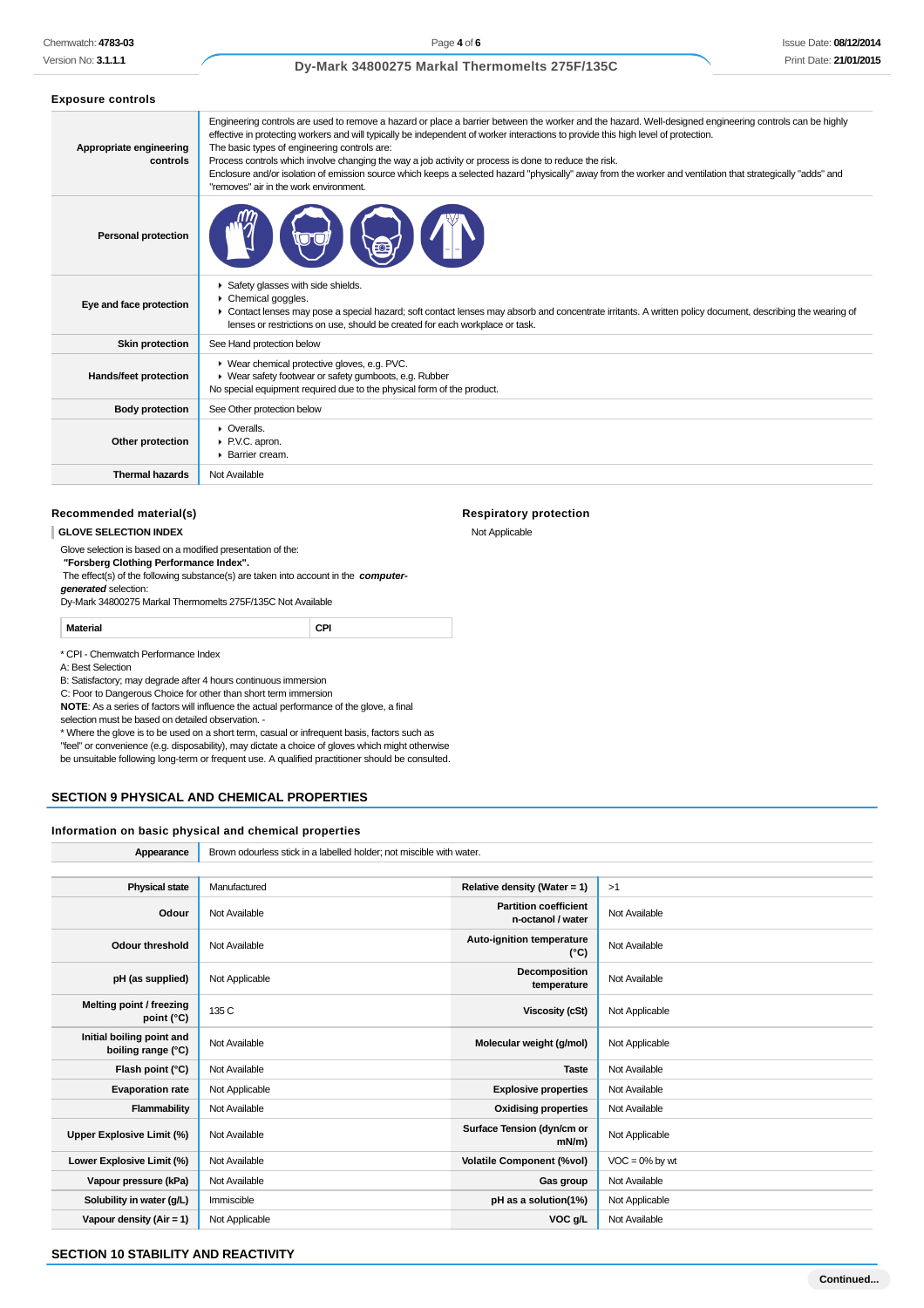#### **Dy-Mark 34800275 Markal Thermomelts 275F/135C**

| <b>Exposure controls</b>            |                                                                                                                                                                                                                                                                                                                                                                                                                                                                                                                                                                                                                                                                 |
|-------------------------------------|-----------------------------------------------------------------------------------------------------------------------------------------------------------------------------------------------------------------------------------------------------------------------------------------------------------------------------------------------------------------------------------------------------------------------------------------------------------------------------------------------------------------------------------------------------------------------------------------------------------------------------------------------------------------|
| Appropriate engineering<br>controls | Engineering controls are used to remove a hazard or place a barrier between the worker and the hazard. Well-designed engineering controls can be highly<br>effective in protecting workers and will typically be independent of worker interactions to provide this high level of protection.<br>The basic types of engineering controls are:<br>Process controls which involve changing the way a job activity or process is done to reduce the risk.<br>Enclosure and/or isolation of emission source which keeps a selected hazard "physically" away from the worker and ventilation that strategically "adds" and<br>"removes" air in the work environment. |
| <b>Personal protection</b>          |                                                                                                                                                                                                                                                                                                                                                                                                                                                                                                                                                                                                                                                                 |
| Eye and face protection             | Safety glasses with side shields.<br>Chemical goggles.<br>• Contact lenses may pose a special hazard; soft contact lenses may absorb and concentrate irritants. A written policy document, describing the wearing of<br>lenses or restrictions on use, should be created for each workplace or task.                                                                                                                                                                                                                                                                                                                                                            |
| <b>Skin protection</b>              | See Hand protection below                                                                                                                                                                                                                                                                                                                                                                                                                                                                                                                                                                                                                                       |
| Hands/feet protection               | ▶ Wear chemical protective gloves, e.g. PVC.<br>▶ Wear safety footwear or safety gumboots, e.g. Rubber<br>No special equipment required due to the physical form of the product.                                                                                                                                                                                                                                                                                                                                                                                                                                                                                |
| <b>Body protection</b>              | See Other protection below                                                                                                                                                                                                                                                                                                                                                                                                                                                                                                                                                                                                                                      |
| Other protection                    | • Overalls.<br>PV.C. apron.<br>▶ Barrier cream.                                                                                                                                                                                                                                                                                                                                                                                                                                                                                                                                                                                                                 |
| <b>Thermal hazards</b>              | Not Available                                                                                                                                                                                                                                                                                                                                                                                                                                                                                                                                                                                                                                                   |

#### **Recommended material(s)**

**GLOVE SELECTION INDEX**

Glove selection is based on a modified presentation of the:

 **"Forsberg Clothing Performance Index".**

 The effect(s) of the following substance(s) are taken into account in the **computergenerated** selection:

Dy-Mark 34800275 Markal Thermomelts 275F/135C Not Available

**Material CPI**

\* CPI - Chemwatch Performance Index

A: Best Selection

B: Satisfactory; may degrade after 4 hours continuous immersion

C: Poor to Dangerous Choice for other than short term immersion

**NOTE**: As a series of factors will influence the actual performance of the glove, a final

selection must be based on detailed observation. -

\* Where the glove is to be used on a short term, casual or infrequent basis, factors such as "feel" or convenience (e.g. disposability), may dictate a choice of gloves which might otherwise be unsuitable following long-term or frequent use. A qualified practitioner should be consulted.

#### **SECTION 9 PHYSICAL AND CHEMICAL PROPERTIES**

#### **Information on basic physical and chemical properties**

**Appearance** Brown odourless stick in a labelled holder; not miscible with water. **Physical state** Manufactured **Relative density (Water = 1)** >1 **Odour** Not Available **Partition coefficient n-octanol / water** Not Available **Odour threshold** Not Available **Auto-ignition temperature Auto-ignition temperature** (°C) **Not Available pH (as supplied)** Not Applicable **Decomposition Decomposition temperature** Not Available **Melting point / freezing point (°C)** 135 C **Viscosity (cSt)** Not Applicable **Initial boiling point and boiling point and**<br> **boiling range (°C)** Not Available **Molecular weight (g/mol)** Not Applicable **Flash point (°C)** Not Available **Taste** Not Available **Taste** Not Available **Evaporation rate** Not Applicable **Explosive properties** Not Available **Flammability** Not Available **Not Available Communisty Oxidising properties** Not Available Upper Explosive Limit (%) **Not Available <b>Surface Tension** (dyn/cm or contact a surface Tension (dyn/cm or conta<br>(mWm **Not Applicable Lower Explosive Limit (%)** Not Available **Volatile Component (%vol)** VOC = 0% by wt **Vapour pressure (kPa)** Not Available **Gas group** Not Available **Gas group** Not Available **Solubility in water (g/L)** Immiscible **pH as a solution(1%)** Not Applicable **Vapour density (Air = 1)** Not Applicable **VOC g/L** Not Available

**Respiratory protection**

Not Applicable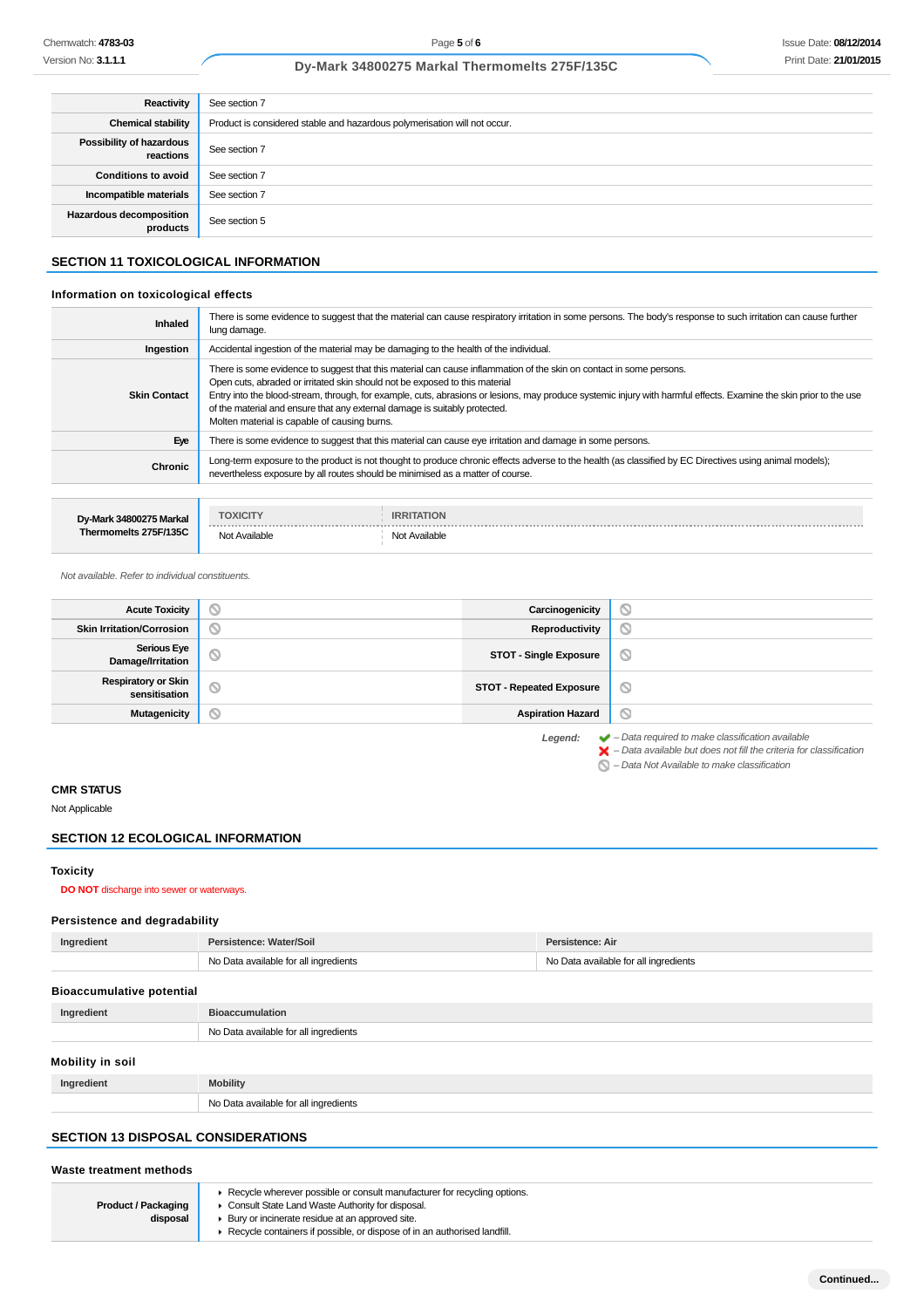# **Dy-Mark 34800275 Markal Thermomelts 275F/135C**

| Reactivity                            | See section 7                                                             |
|---------------------------------------|---------------------------------------------------------------------------|
| <b>Chemical stability</b>             | Product is considered stable and hazardous polymerisation will not occur. |
| Possibility of hazardous<br>reactions | See section 7                                                             |
| <b>Conditions to avoid</b>            | See section 7                                                             |
| Incompatible materials                | See section 7                                                             |
| Hazardous decomposition<br>products   | See section 5                                                             |

# **SECTION 11 TOXICOLOGICAL INFORMATION**

#### **Information on toxicological effects**

| Inhaled             | There is some evidence to suggest that the material can cause respiratory irritation in some persons. The body's response to such irritation can cause further<br>lung damage.                                                                                                                                                                                                                                                                                                                         |
|---------------------|--------------------------------------------------------------------------------------------------------------------------------------------------------------------------------------------------------------------------------------------------------------------------------------------------------------------------------------------------------------------------------------------------------------------------------------------------------------------------------------------------------|
| Ingestion           | Accidental ingestion of the material may be damaging to the health of the individual.                                                                                                                                                                                                                                                                                                                                                                                                                  |
| <b>Skin Contact</b> | There is some evidence to suggest that this material can cause inflammation of the skin on contact in some persons.<br>Open cuts, abraded or irritated skin should not be exposed to this material<br>Entry into the blood-stream, through, for example, cuts, abrasions or lesions, may produce systemic injury with harmful effects. Examine the skin prior to the use<br>of the material and ensure that any external damage is suitably protected.<br>Molten material is capable of causing burns. |
| Eye                 | There is some evidence to suggest that this material can cause eye irritation and damage in some persons.                                                                                                                                                                                                                                                                                                                                                                                              |
| Chronic             | Long-term exposure to the product is not thought to produce chronic effects adverse to the health (as classified by EC Directives using animal models);<br>nevertheless exposure by all routes should be minimised as a matter of course.                                                                                                                                                                                                                                                              |
|                     |                                                                                                                                                                                                                                                                                                                                                                                                                                                                                                        |

| Dv-Mark 34800275 Markal<br>Thermomelts 275F/135C | <b>TOXICITY</b> | <b>IRRITATION</b> |
|--------------------------------------------------|-----------------|-------------------|
|                                                  | Not Available   | Not Available     |

#### Not available. Refer to individual constituents.

| <b>Acute Toxicity</b>                       | $\circ$ | Carcinogenicity                 | q                   |
|---------------------------------------------|---------|---------------------------------|---------------------|
| <b>Skin Irritation/Corrosion</b>            | $\circ$ | Reproductivity                  | $\circlearrowright$ |
| <b>Serious Eye</b><br>Damage/Irritation     | Ø       | <b>STOT - Single Exposure</b>   | O                   |
| <b>Respiratory or Skin</b><br>sensitisation | $\circ$ | <b>STOT - Repeated Exposure</b> | O                   |
| <b>Mutagenicity</b>                         | d       | <b>Aspiration Hazard</b>        | O                   |
|                                             |         |                                 |                     |

**Legend:** – Data required to make classification available

 – Data available but does not fill the criteria for classification – Data Not Available to make classification

# **CMR STATUS**

Not Applicable

# **SECTION 12 ECOLOGICAL INFORMATION**

### **Toxicity**

### **DO NOT** discharge into sewer or waterways.

# **Persistence and degradability**

| Ingredient                       | Persistence: Water/Soil                                                        | Persistence: Air |  |
|----------------------------------|--------------------------------------------------------------------------------|------------------|--|
|                                  | No Data available for all ingredients<br>No Data available for all ingredients |                  |  |
| <b>Bioaccumulative potential</b> |                                                                                |                  |  |
| Ingredient                       | <b>Bioaccumulation</b>                                                         |                  |  |
|                                  | No Data available for all ingredients                                          |                  |  |
| Mobility in soil                 |                                                                                |                  |  |
| Ingredient                       | <b>Mobility</b>                                                                |                  |  |
|                                  | No Data available for all ingredients                                          |                  |  |
|                                  |                                                                                |                  |  |

# **SECTION 13 DISPOSAL CONSIDERATIONS**

#### **Waste treatment methods**

**Product / Packaging disposal** Recycle wherever possible or consult manufacturer for recycling options. Consult State Land Waste Authority for disposal.

- Bury or incinerate residue at an approved site.
	- Recycle containers if possible, or dispose of in an authorised landfill.